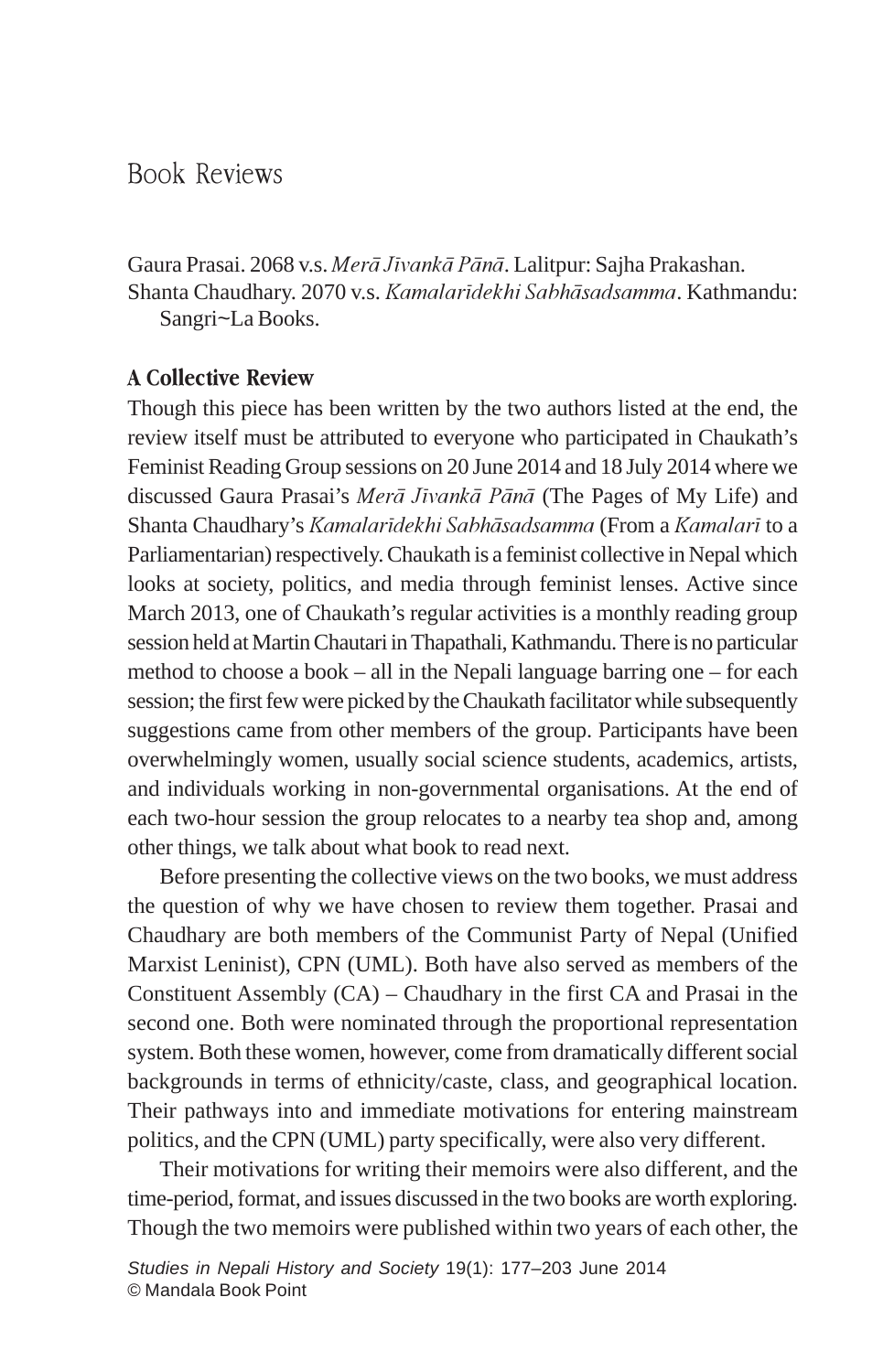# Book Reviews

Gaura Prasai. 2068 v.s. Merā Jīvankā Pānā. Lalitpur: Sajha Prakashan. Shanta Chaudhary. 2070 v.s. Kamalarīdekhi Sabhāsadsamma. Kathmandu: Sangri~La Books.

## A Collective Review

Though this piece has been written by the two authors listed at the end, the review itself must be attributed to everyone who participated in Chaukath's Feminist Reading Group sessions on 20 June 2014 and 18 July 2014 where we discussed Gaura Prasai's Merā Jīvankā Pānā (The Pages of My Life) and Shanta Chaudhary's Kamalarīdekhi Sabhāsadsamma (From a Kamalarī to a Parliamentarian) respectively. Chaukath is a feminist collective in Nepal which looks at society, politics, and media through feminist lenses. Active since March 2013, one of Chaukath's regular activities is a monthly reading group session held at Martin Chautari in Thapathali, Kathmandu. There is no particular method to choose a book – all in the Nepali language barring one – for each session; the first few were picked by the Chaukath facilitator while subsequently suggestions came from other members of the group. Participants have been overwhelmingly women, usually social science students, academics, artists, and individuals working in non-governmental organisations. At the end of each two-hour session the group relocates to a nearby tea shop and, among other things, we talk about what book to read next.

Before presenting the collective views on the two books, we must address the question of why we have chosen to review them together. Prasai and Chaudhary are both members of the Communist Party of Nepal (Unified Marxist Leninist), CPN (UML). Both have also served as members of the Constituent Assembly (CA) – Chaudhary in the first CA and Prasai in the second one. Both were nominated through the proportional representation system. Both these women, however, come from dramatically different social backgrounds in terms of ethnicity/caste, class, and geographical location. Their pathways into and immediate motivations for entering mainstream politics, and the CPN (UML) party specifically, were also very different.

Their motivations for writing their memoirs were also different, and the time-period, format, and issues discussed in the two books are worth exploring. Though the two memoirs were published within two years of each other, the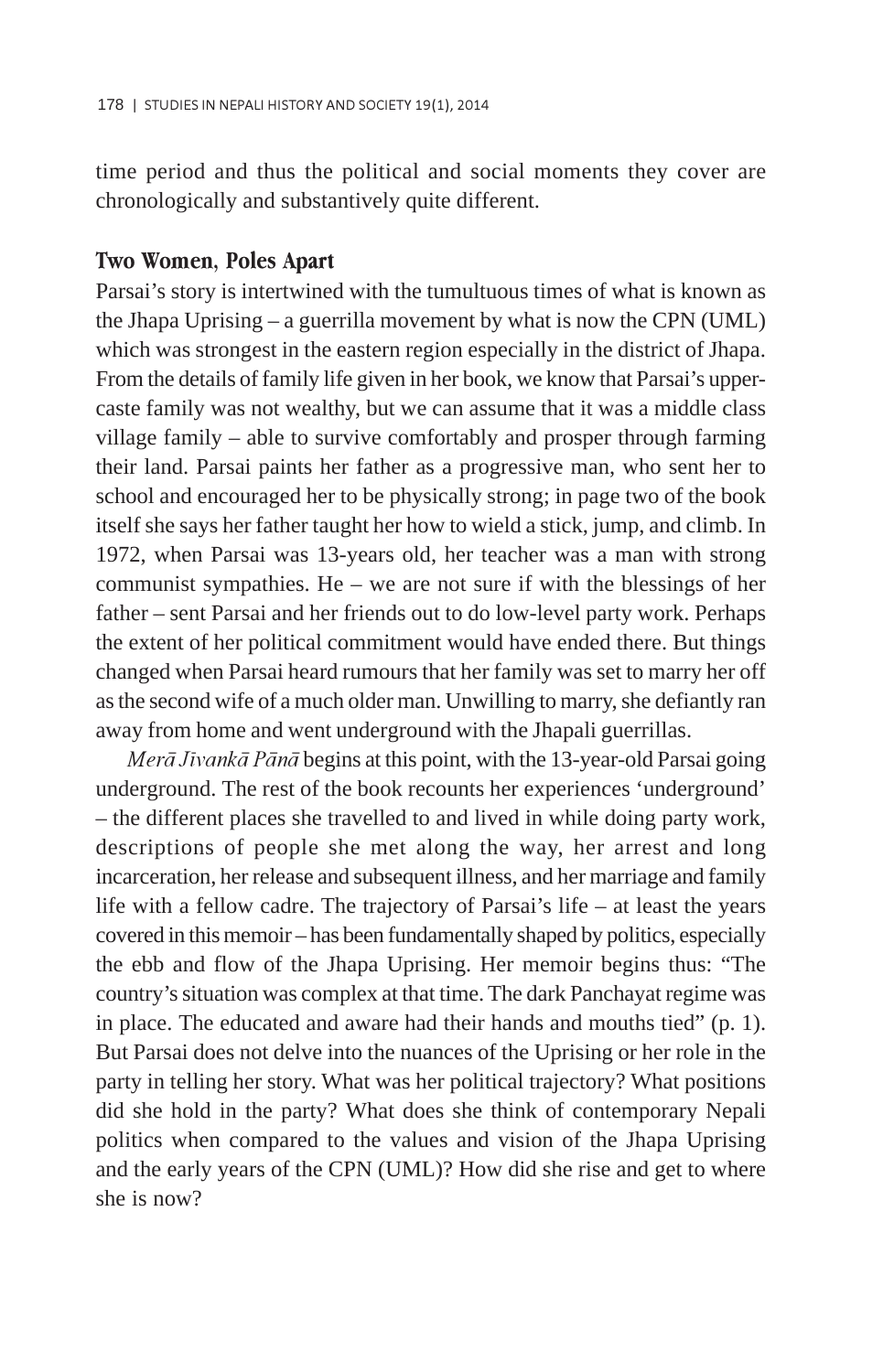time period and thus the political and social moments they cover are chronologically and substantively quite different.

### Two Women, Poles Apart

Parsai's story is intertwined with the tumultuous times of what is known as the Jhapa Uprising – a guerrilla movement by what is now the CPN (UML) which was strongest in the eastern region especially in the district of Jhapa. From the details of family life given in her book, we know that Parsai's uppercaste family was not wealthy, but we can assume that it was a middle class village family – able to survive comfortably and prosper through farming their land. Parsai paints her father as a progressive man, who sent her to school and encouraged her to be physically strong; in page two of the book itself she says her father taught her how to wield a stick, jump, and climb. In 1972, when Parsai was 13-years old, her teacher was a man with strong communist sympathies. He – we are not sure if with the blessings of her father – sent Parsai and her friends out to do low-level party work. Perhaps the extent of her political commitment would have ended there. But things changed when Parsai heard rumours that her family was set to marry her off as the second wife of a much older man. Unwilling to marry, she defiantly ran away from home and went underground with the Jhapali guerrillas.

 $Mer\bar{a} J\bar{v}$  and  $P\bar{a}n\bar{a}$  begins at this point, with the 13-year-old Parsai going underground. The rest of the book recounts her experiences 'underground' – the different places she travelled to and lived in while doing party work, descriptions of people she met along the way, her arrest and long incarceration, her release and subsequent illness, and her marriage and family life with a fellow cadre. The trajectory of Parsai's life – at least the years covered in this memoir – has been fundamentally shaped by politics, especially the ebb and flow of the Jhapa Uprising. Her memoir begins thus: "The country's situation was complex at that time. The dark Panchayat regime was in place. The educated and aware had their hands and mouths tied" (p. 1). But Parsai does not delve into the nuances of the Uprising or her role in the party in telling her story. What was her political trajectory? What positions did she hold in the party? What does she think of contemporary Nepali politics when compared to the values and vision of the Jhapa Uprising and the early years of the CPN (UML)? How did she rise and get to where she is now?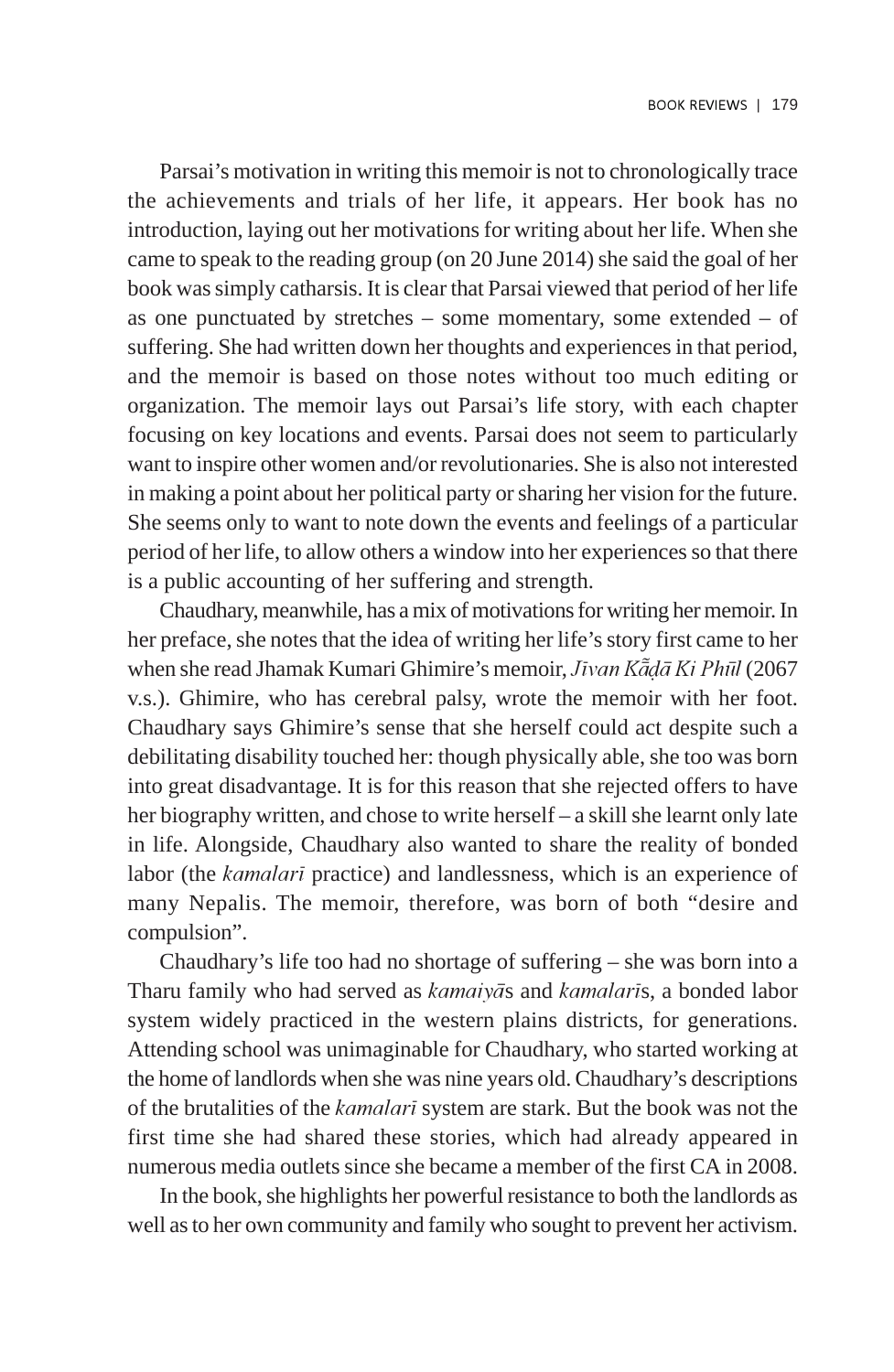Parsai's motivation in writing this memoir is not to chronologically trace the achievements and trials of her life, it appears. Her book has no introduction, laying out her motivations for writing about her life. When she came to speak to the reading group (on 20 June 2014) she said the goal of her book was simply catharsis. It is clear that Parsai viewed that period of her life as one punctuated by stretches – some momentary, some extended – of suffering. She had written down her thoughts and experiences in that period, and the memoir is based on those notes without too much editing or organization. The memoir lays out Parsai's life story, with each chapter focusing on key locations and events. Parsai does not seem to particularly want to inspire other women and/or revolutionaries. She is also not interested in making a point about her political party or sharing her vision for the future. She seems only to want to note down the events and feelings of a particular period of her life, to allow others a window into her experiences so that there is a public accounting of her suffering and strength.

Chaudhary, meanwhile, has a mix of motivations for writing her memoir. In her preface, she notes that the idea of writing her life's story first came to her when she read Jhamak Kumari Ghimire's memoir, Jīvan Kādā Ki Phūl (2067) v.s.). Ghimire, who has cerebral palsy, wrote the memoir with her foot. Chaudhary says Ghimire's sense that she herself could act despite such a debilitating disability touched her: though physically able, she too was born into great disadvantage. It is for this reason that she rejected offers to have her biography written, and chose to write herself – a skill she learnt only late in life. Alongside, Chaudhary also wanted to share the reality of bonded labor (the kamalari practice) and landlessness, which is an experience of many Nepalis. The memoir, therefore, was born of both "desire and compulsion".

Chaudhary's life too had no shortage of suffering – she was born into a Tharu family who had served as kamaiyas and kamalaris, a bonded labor system widely practiced in the western plains districts, for generations. Attending school was unimaginable for Chaudhary, who started working at the home of landlords when she was nine years old. Chaudhary's descriptions of the brutalities of the kamalarã system are stark. But the book was not the first time she had shared these stories, which had already appeared in numerous media outlets since she became a member of the first CA in 2008.

In the book, she highlights her powerful resistance to both the landlords as well as to her own community and family who sought to prevent her activism.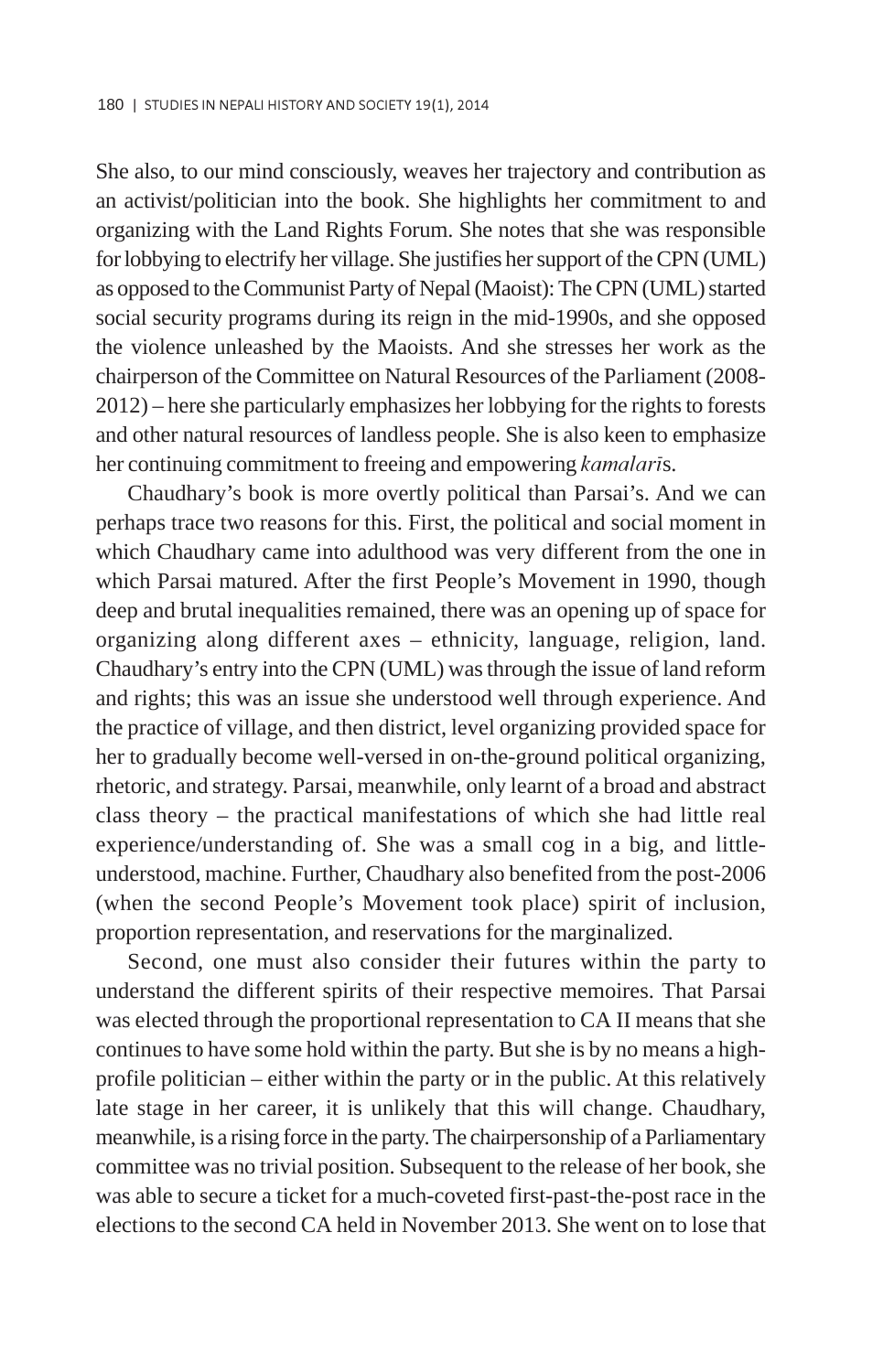She also, to our mind consciously, weaves her trajectory and contribution as an activist/politician into the book. She highlights her commitment to and organizing with the Land Rights Forum. She notes that she was responsible for lobbying to electrify her village. She justifies her support of the CPN (UML) as opposed to the Communist Party of Nepal (Maoist): The CPN (UML) started social security programs during its reign in the mid-1990s, and she opposed the violence unleashed by the Maoists. And she stresses her work as the chairperson of the Committee on Natural Resources of the Parliament (2008- 2012) – here she particularly emphasizes her lobbying for the rights to forests and other natural resources of landless people. She is also keen to emphasize her continuing commitment to freeing and empowering kamalaris.

Chaudhary's book is more overtly political than Parsai's. And we can perhaps trace two reasons for this. First, the political and social moment in which Chaudhary came into adulthood was very different from the one in which Parsai matured. After the first People's Movement in 1990, though deep and brutal inequalities remained, there was an opening up of space for organizing along different axes – ethnicity, language, religion, land. Chaudhary's entry into the CPN (UML) was through the issue of land reform and rights; this was an issue she understood well through experience. And the practice of village, and then district, level organizing provided space for her to gradually become well-versed in on-the-ground political organizing, rhetoric, and strategy. Parsai, meanwhile, only learnt of a broad and abstract class theory – the practical manifestations of which she had little real experience/understanding of. She was a small cog in a big, and littleunderstood, machine. Further, Chaudhary also benefited from the post-2006 (when the second People's Movement took place) spirit of inclusion, proportion representation, and reservations for the marginalized.

Second, one must also consider their futures within the party to understand the different spirits of their respective memoires. That Parsai was elected through the proportional representation to CA II means that she continues to have some hold within the party. But she is by no means a highprofile politician – either within the party or in the public. At this relatively late stage in her career, it is unlikely that this will change. Chaudhary, meanwhile, is a rising force in the party. The chairpersonship of a Parliamentary committee was no trivial position. Subsequent to the release of her book, she was able to secure a ticket for a much-coveted first-past-the-post race in the elections to the second CA held in November 2013. She went on to lose that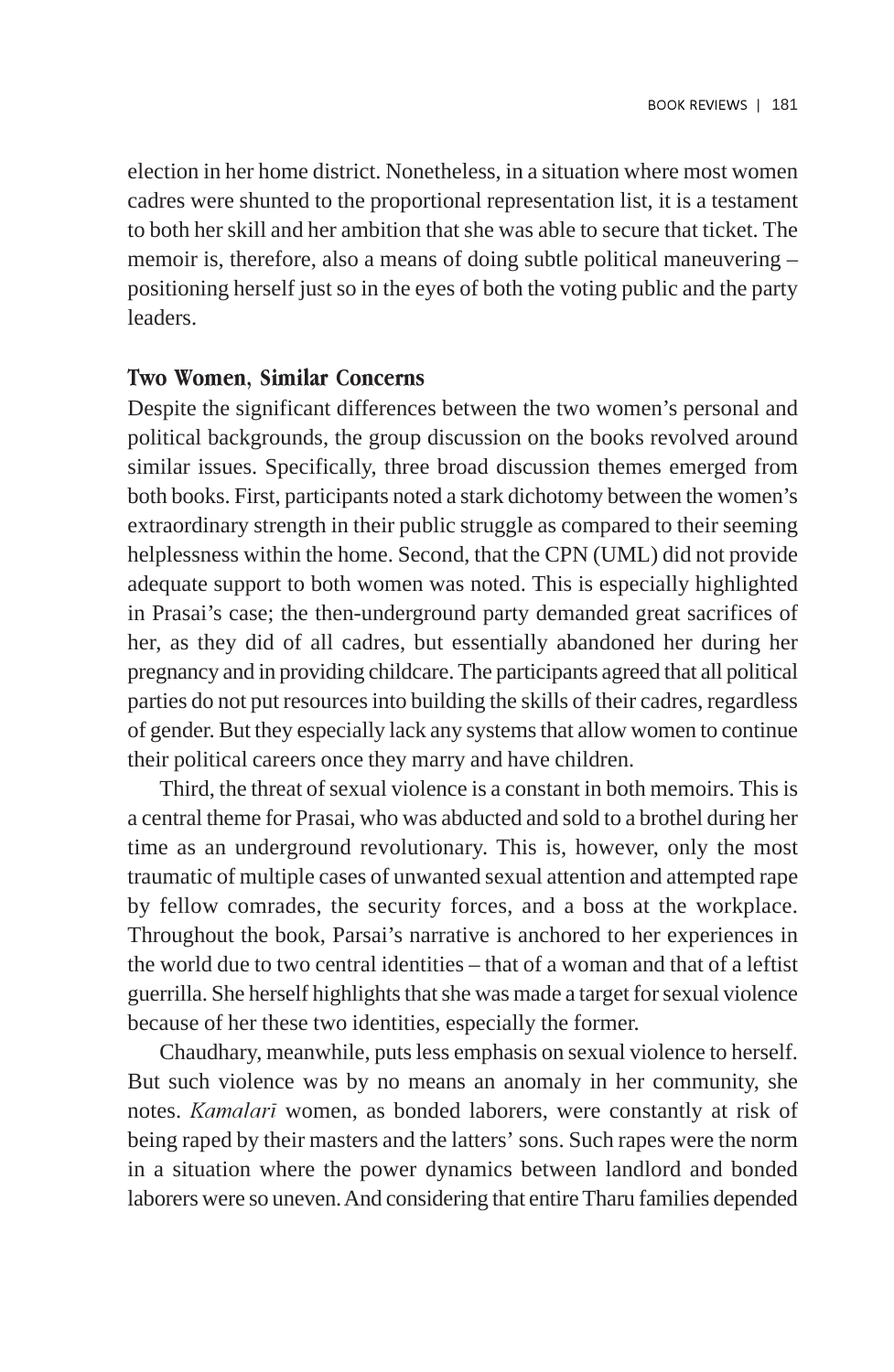election in her home district. Nonetheless, in a situation where most women cadres were shunted to the proportional representation list, it is a testament to both her skill and her ambition that she was able to secure that ticket. The memoir is, therefore, also a means of doing subtle political maneuvering – positioning herself just so in the eyes of both the voting public and the party leaders.

#### Two Women, Similar Concerns

Despite the significant differences between the two women's personal and political backgrounds, the group discussion on the books revolved around similar issues. Specifically, three broad discussion themes emerged from both books. First, participants noted a stark dichotomy between the women's extraordinary strength in their public struggle as compared to their seeming helplessness within the home. Second, that the CPN (UML) did not provide adequate support to both women was noted. This is especially highlighted in Prasai's case; the then-underground party demanded great sacrifices of her, as they did of all cadres, but essentially abandoned her during her pregnancy and in providing childcare. The participants agreed that all political parties do not put resources into building the skills of their cadres, regardless of gender. But they especially lack any systems that allow women to continue their political careers once they marry and have children.

Third, the threat of sexual violence is a constant in both memoirs. This is a central theme for Prasai, who was abducted and sold to a brothel during her time as an underground revolutionary. This is, however, only the most traumatic of multiple cases of unwanted sexual attention and attempted rape by fellow comrades, the security forces, and a boss at the workplace. Throughout the book, Parsai's narrative is anchored to her experiences in the world due to two central identities – that of a woman and that of a leftist guerrilla. She herself highlights that she was made a target for sexual violence because of her these two identities, especially the former.

Chaudhary, meanwhile, puts less emphasis on sexual violence to herself. But such violence was by no means an anomaly in her community, she notes. Kamalarã women, as bonded laborers, were constantly at risk of being raped by their masters and the latters' sons. Such rapes were the norm in a situation where the power dynamics between landlord and bonded laborers were so uneven. And considering that entire Tharu families depended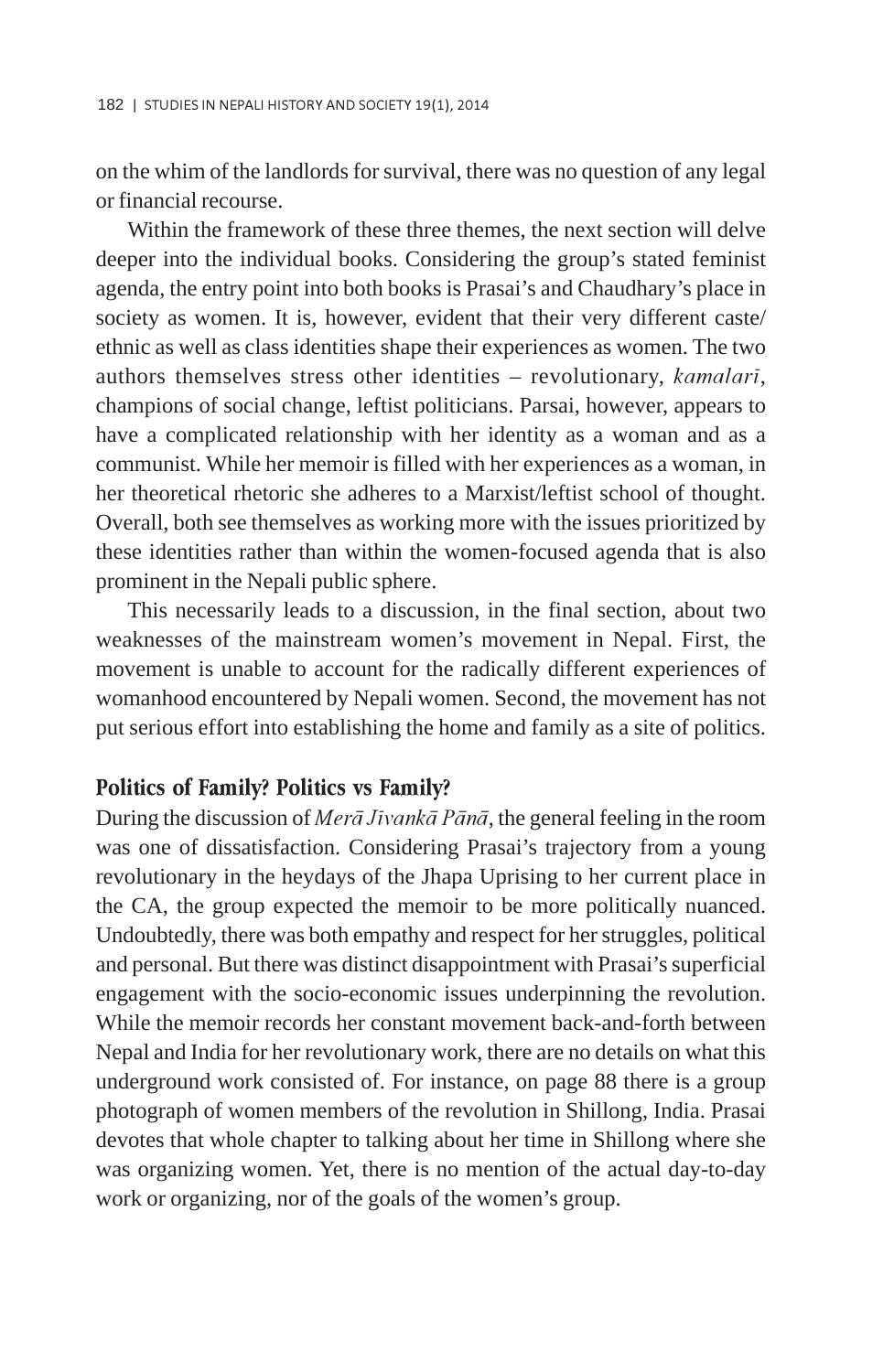on the whim of the landlords for survival, there was no question of any legal or financial recourse.

Within the framework of these three themes, the next section will delve deeper into the individual books. Considering the group's stated feminist agenda, the entry point into both books is Prasai's and Chaudhary's place in society as women. It is, however, evident that their very different caste/ ethnic as well as class identities shape their experiences as women. The two authors themselves stress other identities – revolutionary, kamalari, champions of social change, leftist politicians. Parsai, however, appears to have a complicated relationship with her identity as a woman and as a communist. While her memoir is filled with her experiences as a woman, in her theoretical rhetoric she adheres to a Marxist/leftist school of thought. Overall, both see themselves as working more with the issues prioritized by these identities rather than within the women-focused agenda that is also prominent in the Nepali public sphere.

This necessarily leads to a discussion, in the final section, about two weaknesses of the mainstream women's movement in Nepal. First, the movement is unable to account for the radically different experiences of womanhood encountered by Nepali women. Second, the movement has not put serious effort into establishing the home and family as a site of politics.

#### Politics of Family? Politics vs Family?

During the discussion of Mer $\bar{a}$  Jivanka Pana, the general feeling in the room was one of dissatisfaction. Considering Prasai's trajectory from a young revolutionary in the heydays of the Jhapa Uprising to her current place in the CA, the group expected the memoir to be more politically nuanced. Undoubtedly, there was both empathy and respect for her struggles, political and personal. But there was distinct disappointment with Prasai's superficial engagement with the socio-economic issues underpinning the revolution. While the memoir records her constant movement back-and-forth between Nepal and India for her revolutionary work, there are no details on what this underground work consisted of. For instance, on page 88 there is a group photograph of women members of the revolution in Shillong, India. Prasai devotes that whole chapter to talking about her time in Shillong where she was organizing women. Yet, there is no mention of the actual day-to-day work or organizing, nor of the goals of the women's group.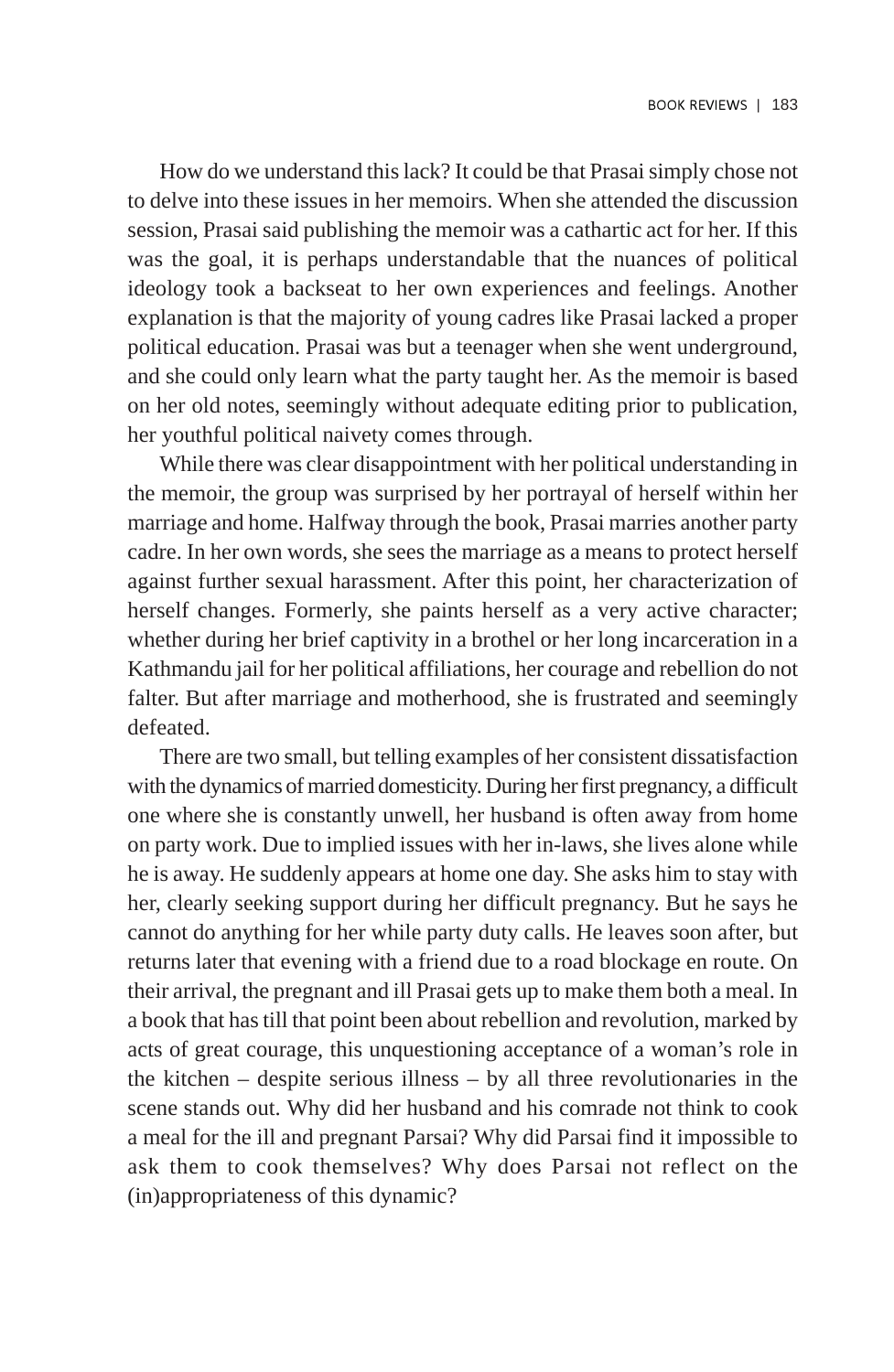How do we understand this lack? It could be that Prasai simply chose not to delve into these issues in her memoirs. When she attended the discussion session, Prasai said publishing the memoir was a cathartic act for her. If this was the goal, it is perhaps understandable that the nuances of political ideology took a backseat to her own experiences and feelings. Another explanation is that the majority of young cadres like Prasai lacked a proper political education. Prasai was but a teenager when she went underground, and she could only learn what the party taught her. As the memoir is based on her old notes, seemingly without adequate editing prior to publication, her youthful political naivety comes through.

While there was clear disappointment with her political understanding in the memoir, the group was surprised by her portrayal of herself within her marriage and home. Halfway through the book, Prasai marries another party cadre. In her own words, she sees the marriage as a means to protect herself against further sexual harassment. After this point, her characterization of herself changes. Formerly, she paints herself as a very active character; whether during her brief captivity in a brothel or her long incarceration in a Kathmandu jail for her political affiliations, her courage and rebellion do not falter. But after marriage and motherhood, she is frustrated and seemingly defeated.

There are two small, but telling examples of her consistent dissatisfaction with the dynamics of married domesticity. During her first pregnancy, a difficult one where she is constantly unwell, her husband is often away from home on party work. Due to implied issues with her in-laws, she lives alone while he is away. He suddenly appears at home one day. She asks him to stay with her, clearly seeking support during her difficult pregnancy. But he says he cannot do anything for her while party duty calls. He leaves soon after, but returns later that evening with a friend due to a road blockage en route. On their arrival, the pregnant and ill Prasai gets up to make them both a meal. In a book that has till that point been about rebellion and revolution, marked by acts of great courage, this unquestioning acceptance of a woman's role in the kitchen – despite serious illness – by all three revolutionaries in the scene stands out. Why did her husband and his comrade not think to cook a meal for the ill and pregnant Parsai? Why did Parsai find it impossible to ask them to cook themselves? Why does Parsai not reflect on the (in)appropriateness of this dynamic?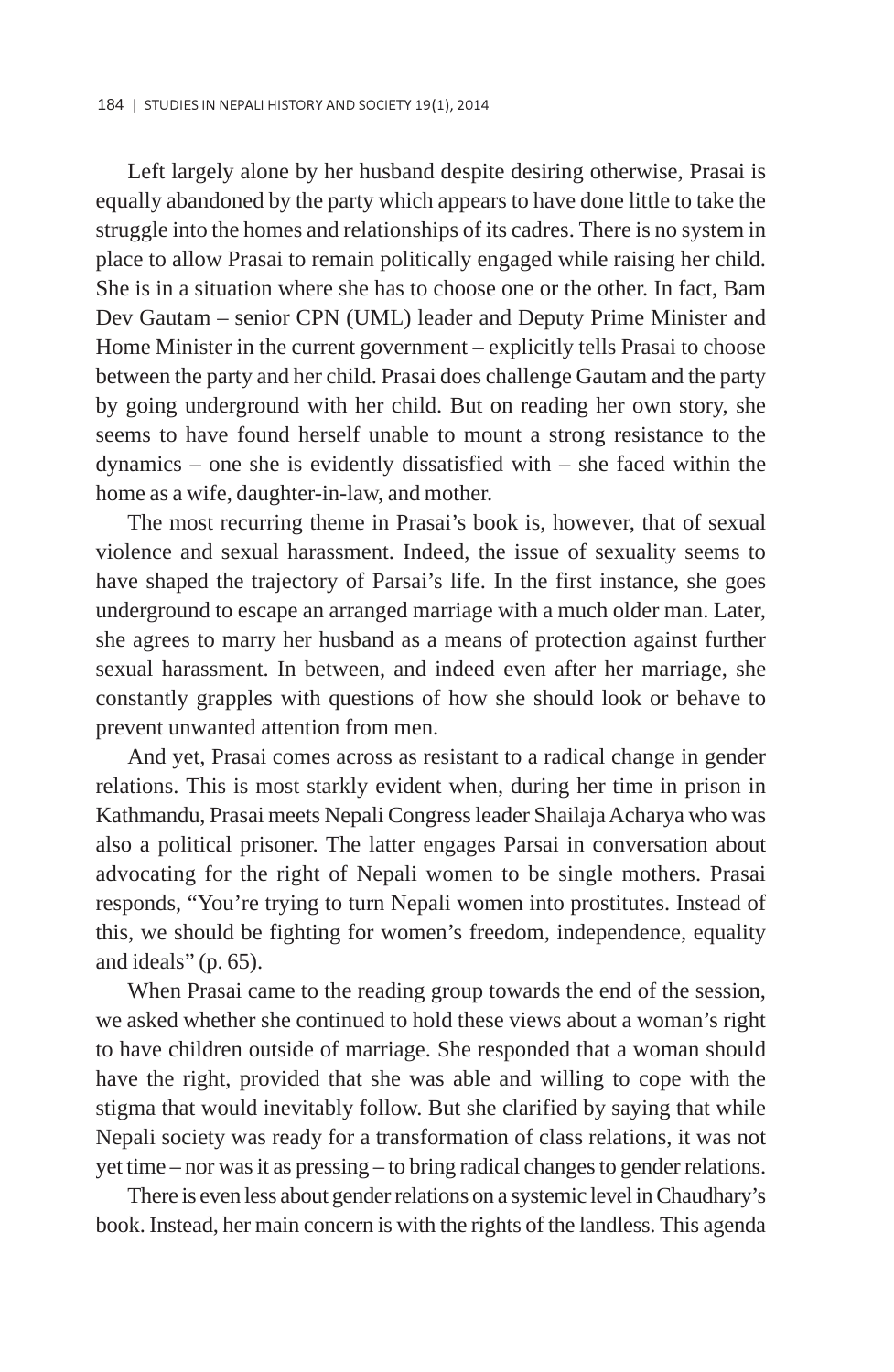Left largely alone by her husband despite desiring otherwise, Prasai is equally abandoned by the party which appears to have done little to take the struggle into the homes and relationships of its cadres. There is no system in place to allow Prasai to remain politically engaged while raising her child. She is in a situation where she has to choose one or the other. In fact, Bam Dev Gautam – senior CPN (UML) leader and Deputy Prime Minister and Home Minister in the current government – explicitly tells Prasai to choose between the party and her child. Prasai does challenge Gautam and the party by going underground with her child. But on reading her own story, she seems to have found herself unable to mount a strong resistance to the dynamics – one she is evidently dissatisfied with – she faced within the home as a wife, daughter-in-law, and mother.

The most recurring theme in Prasai's book is, however, that of sexual violence and sexual harassment. Indeed, the issue of sexuality seems to have shaped the trajectory of Parsai's life. In the first instance, she goes underground to escape an arranged marriage with a much older man. Later, she agrees to marry her husband as a means of protection against further sexual harassment. In between, and indeed even after her marriage, she constantly grapples with questions of how she should look or behave to prevent unwanted attention from men.

And yet, Prasai comes across as resistant to a radical change in gender relations. This is most starkly evident when, during her time in prison in Kathmandu, Prasai meets Nepali Congress leader Shailaja Acharya who was also a political prisoner. The latter engages Parsai in conversation about advocating for the right of Nepali women to be single mothers. Prasai responds, "You're trying to turn Nepali women into prostitutes. Instead of this, we should be fighting for women's freedom, independence, equality and ideals" (p. 65).

When Prasai came to the reading group towards the end of the session, we asked whether she continued to hold these views about a woman's right to have children outside of marriage. She responded that a woman should have the right, provided that she was able and willing to cope with the stigma that would inevitably follow. But she clarified by saying that while Nepali society was ready for a transformation of class relations, it was not yet time – nor was it as pressing – to bring radical changes to gender relations.

There is even less about gender relations on a systemic level in Chaudhary's book. Instead, her main concern is with the rights of the landless. This agenda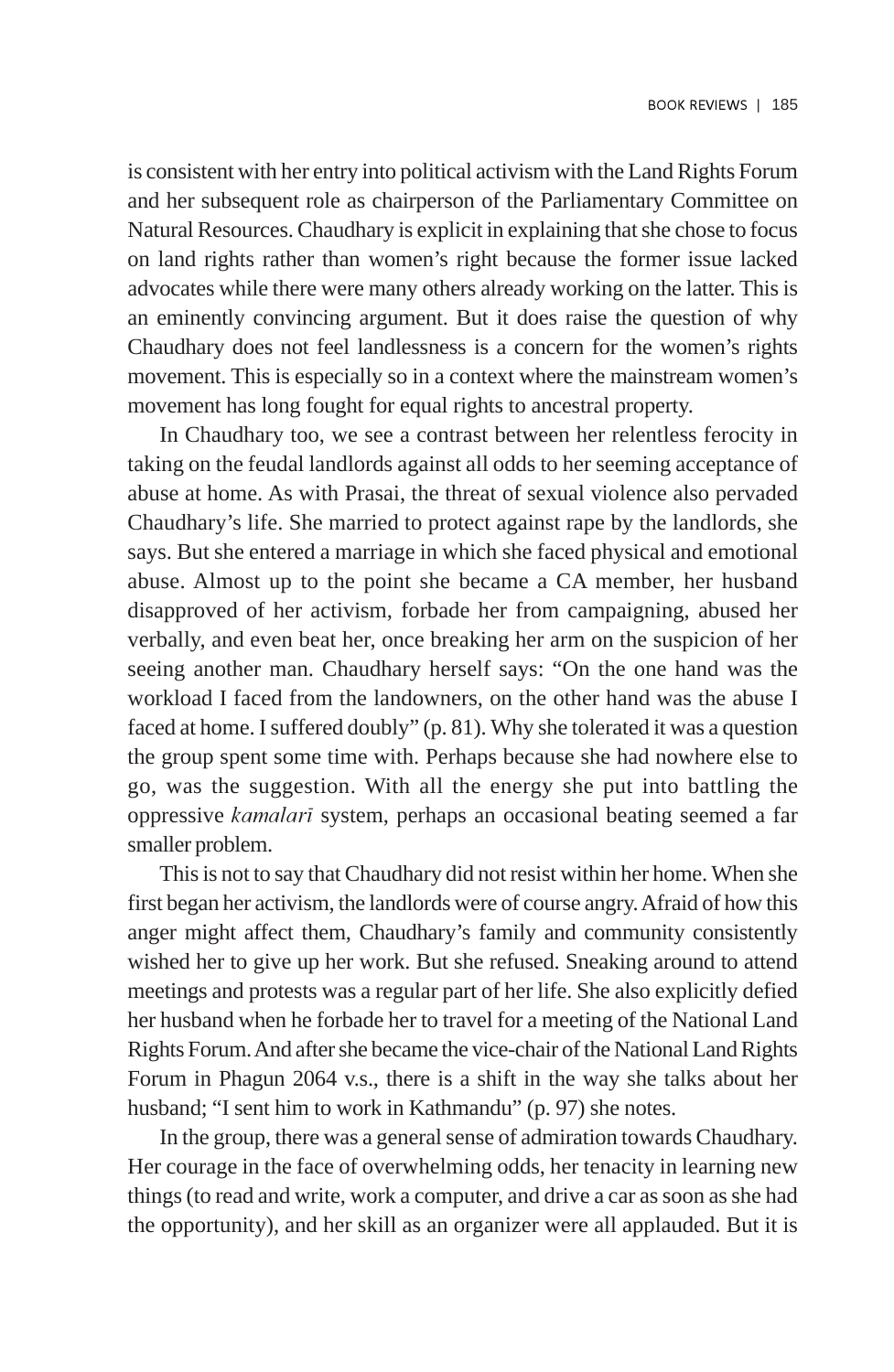is consistent with her entry into political activism with the Land Rights Forum and her subsequent role as chairperson of the Parliamentary Committee on Natural Resources. Chaudhary is explicit in explaining that she chose to focus on land rights rather than women's right because the former issue lacked advocates while there were many others already working on the latter. This is an eminently convincing argument. But it does raise the question of why Chaudhary does not feel landlessness is a concern for the women's rights movement. This is especially so in a context where the mainstream women's movement has long fought for equal rights to ancestral property.

In Chaudhary too, we see a contrast between her relentless ferocity in taking on the feudal landlords against all odds to her seeming acceptance of abuse at home. As with Prasai, the threat of sexual violence also pervaded Chaudhary's life. She married to protect against rape by the landlords, she says. But she entered a marriage in which she faced physical and emotional abuse. Almost up to the point she became a CA member, her husband disapproved of her activism, forbade her from campaigning, abused her verbally, and even beat her, once breaking her arm on the suspicion of her seeing another man. Chaudhary herself says: "On the one hand was the workload I faced from the landowners, on the other hand was the abuse I faced at home. I suffered doubly" (p. 81). Why she tolerated it was a question the group spent some time with. Perhaps because she had nowhere else to go, was the suggestion. With all the energy she put into battling the oppressive kamalarã system, perhaps an occasional beating seemed a far smaller problem.

This is not to say that Chaudhary did not resist within her home. When she first began her activism, the landlords were of course angry. Afraid of how this anger might affect them, Chaudhary's family and community consistently wished her to give up her work. But she refused. Sneaking around to attend meetings and protests was a regular part of her life. She also explicitly defied her husband when he forbade her to travel for a meeting of the National Land Rights Forum. And after she became the vice-chair of the National Land Rights Forum in Phagun 2064 v.s., there is a shift in the way she talks about her husband; "I sent him to work in Kathmandu" (p. 97) she notes.

In the group, there was a general sense of admiration towards Chaudhary. Her courage in the face of overwhelming odds, her tenacity in learning new things (to read and write, work a computer, and drive a car as soon as she had the opportunity), and her skill as an organizer were all applauded. But it is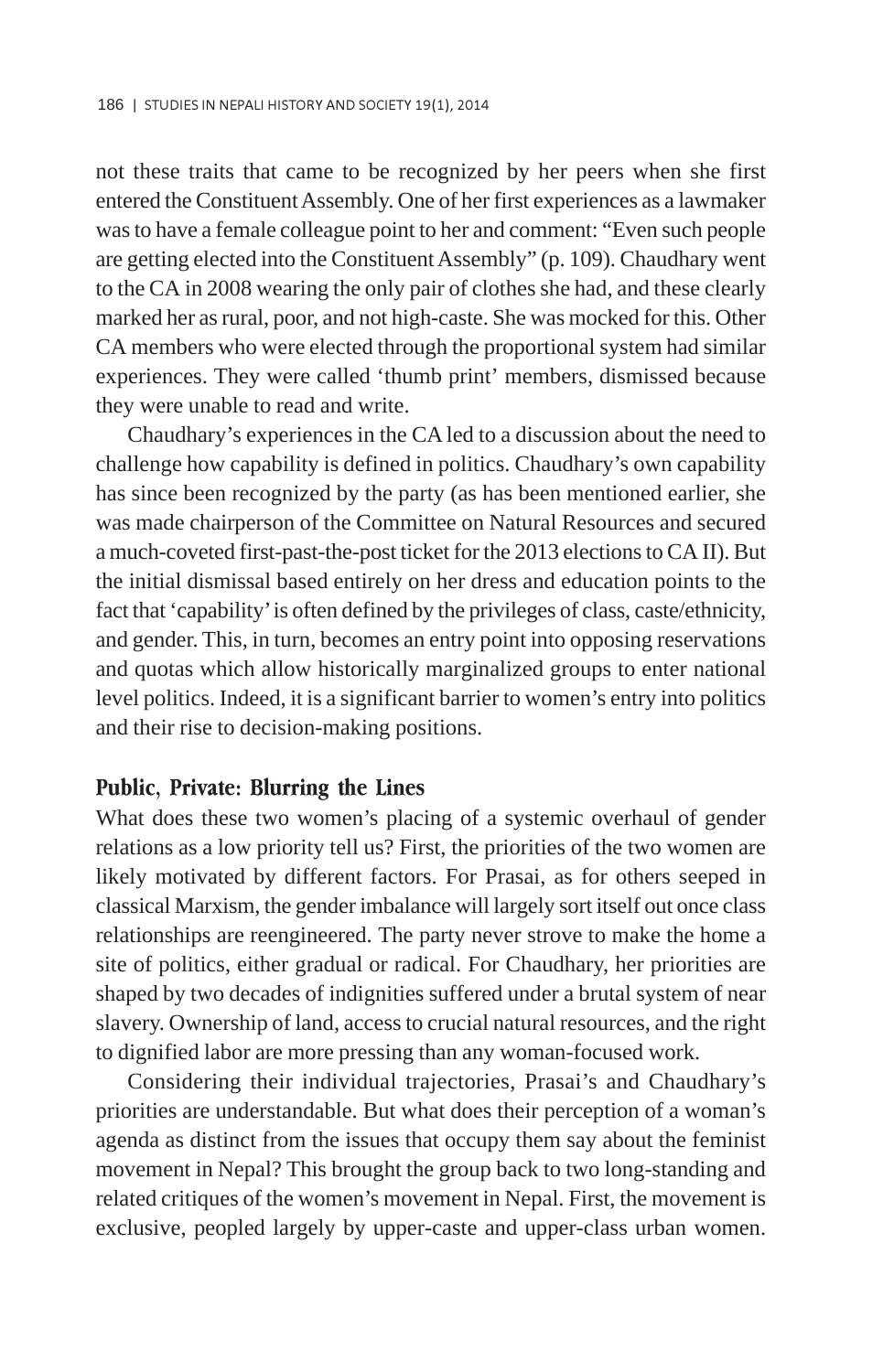not these traits that came to be recognized by her peers when she first entered the Constituent Assembly. One of her first experiences as a lawmaker was to have a female colleague point to her and comment: "Even such people are getting elected into the Constituent Assembly" (p. 109). Chaudhary went to the CA in 2008 wearing the only pair of clothes she had, and these clearly marked her as rural, poor, and not high-caste. She was mocked for this. Other CA members who were elected through the proportional system had similar experiences. They were called 'thumb print' members, dismissed because they were unable to read and write.

Chaudhary's experiences in the CA led to a discussion about the need to challenge how capability is defined in politics. Chaudhary's own capability has since been recognized by the party (as has been mentioned earlier, she was made chairperson of the Committee on Natural Resources and secured a much-coveted first-past-the-post ticket for the 2013 elections to CA II). But the initial dismissal based entirely on her dress and education points to the fact that 'capability' is often defined by the privileges of class, caste/ethnicity, and gender. This, in turn, becomes an entry point into opposing reservations and quotas which allow historically marginalized groups to enter national level politics. Indeed, it is a significant barrier to women's entry into politics and their rise to decision-making positions.

#### Public, Private: Blurring the Lines

What does these two women's placing of a systemic overhaul of gender relations as a low priority tell us? First, the priorities of the two women are likely motivated by different factors. For Prasai, as for others seeped in classical Marxism, the gender imbalance will largely sort itself out once class relationships are reengineered. The party never strove to make the home a site of politics, either gradual or radical. For Chaudhary, her priorities are shaped by two decades of indignities suffered under a brutal system of near slavery. Ownership of land, access to crucial natural resources, and the right to dignified labor are more pressing than any woman-focused work.

Considering their individual trajectories, Prasai's and Chaudhary's priorities are understandable. But what does their perception of a woman's agenda as distinct from the issues that occupy them say about the feminist movement in Nepal? This brought the group back to two long-standing and related critiques of the women's movement in Nepal. First, the movement is exclusive, peopled largely by upper-caste and upper-class urban women.